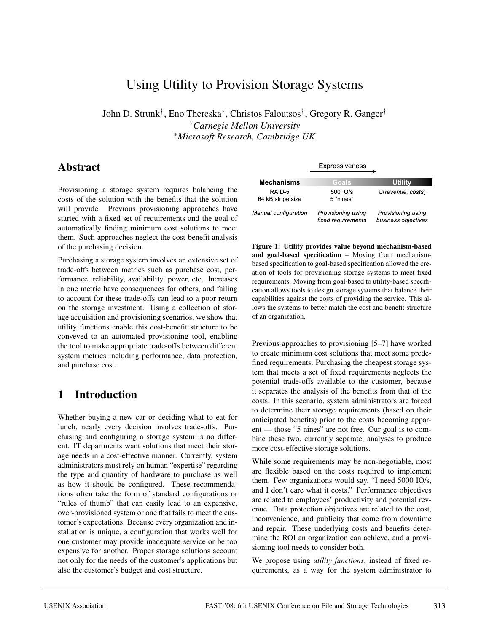# Using Utility to Provision Storage Systems

John D. Strunk†, Eno Thereska<sup>∗</sup>, Christos Faloutsos†, Gregory R. Ganger† †*Carnegie Mellon University* <sup>∗</sup>*Microsoft Research, Cambridge UK*

## **Abstract**

Provisioning a storage system requires balancing the costs of the solution with the benefits that the solution will provide. Previous provisioning approaches have started with a fixed set of requirements and the goal of automatically finding minimum cost solutions to meet them. Such approaches neglect the cost-benefit analysis of the purchasing decision.

Purchasing a storage system involves an extensive set of trade-offs between metrics such as purchase cost, performance, reliability, availability, power, etc. Increases in one metric have consequences for others, and failing to account for these trade-offs can lead to a poor return on the storage investment. Using a collection of storage acquisition and provisioning scenarios, we show that utility functions enable this cost-benefit structure to be conveyed to an automated provisioning tool, enabling the tool to make appropriate trade-offs between different system metrics including performance, data protection, and purchase cost.

# **1 Introduction**

Whether buying a new car or deciding what to eat for lunch, nearly every decision involves trade-offs. Purchasing and configuring a storage system is no different. IT departments want solutions that meet their storage needs in a cost-effective manner. Currently, system administrators must rely on human "expertise" regarding the type and quantity of hardware to purchase as well as how it should be configured. These recommendations often take the form of standard configurations or "rules of thumb" that can easily lead to an expensive, over-provisioned system or one that fails to meet the customer's expectations. Because every organization and installation is unique, a configuration that works well for one customer may provide inadequate service or be too expensive for another. Proper storage solutions account not only for the needs of the customer's applications but also the customer's budget and cost structure.

|                                        | Expressiveness                           |                                           |  |
|----------------------------------------|------------------------------------------|-------------------------------------------|--|
| <b>Mechanisms</b>                      | Goals                                    | Utility                                   |  |
| RAID <sub>5</sub><br>64 kB stripe size | 500 IO/s<br>5 "nines"                    | U(revenue, costs)                         |  |
| Manual configuration                   | Provisioning using<br>fixed requirements | Provisioning using<br>business objectives |  |

**Figure 1: Utility provides value beyond mechanism-based and goal-based specification** – Moving from mechanismbased specification to goal-based specification allowed the creation of tools for provisioning storage systems to meet fixed requirements. Moving from goal-based to utility-based specification allows tools to design storage systems that balance their capabilities against the costs of providing the service. This allows the systems to better match the cost and benefit structure of an organization.

Previous approaches to provisioning [5–7] have worked to create minimum cost solutions that meet some predefined requirements. Purchasing the cheapest storage system that meets a set of fixed requirements neglects the potential trade-offs available to the customer, because it separates the analysis of the benefits from that of the costs. In this scenario, system administrators are forced to determine their storage requirements (based on their anticipated benefits) prior to the costs becoming apparent — those "5 nines" are not free. Our goal is to combine these two, currently separate, analyses to produce more cost-effective storage solutions.

While some requirements may be non-negotiable, most are flexible based on the costs required to implement them. Few organizations would say, "I need 5000 IO/s, and I don't care what it costs." Performance objectives are related to employees' productivity and potential revenue. Data protection objectives are related to the cost, inconvenience, and publicity that come from downtime and repair. These underlying costs and benefits determine the ROI an organization can achieve, and a provisioning tool needs to consider both.

We propose using *utility functions*, instead of fixed requirements, as a way for the system administrator to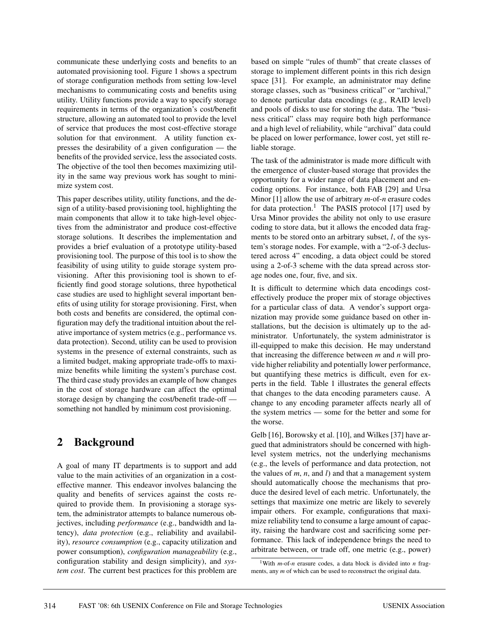communicate these underlying costs and benefits to an automated provisioning tool. Figure 1 shows a spectrum of storage configuration methods from setting low-level mechanisms to communicating costs and benefits using utility. Utility functions provide a way to specify storage requirements in terms of the organization's cost/benefit structure, allowing an automated tool to provide the level of service that produces the most cost-effective storage solution for that environment. A utility function expresses the desirability of a given configuration — the benefits of the provided service, less the associated costs. The objective of the tool then becomes maximizing utility in the same way previous work has sought to minimize system cost.

This paper describes utility, utility functions, and the design of a utility-based provisioning tool, highlighting the main components that allow it to take high-level objectives from the administrator and produce cost-effective storage solutions. It describes the implementation and provides a brief evaluation of a prototype utility-based provisioning tool. The purpose of this tool is to show the feasibility of using utility to guide storage system provisioning. After this provisioning tool is shown to efficiently find good storage solutions, three hypothetical case studies are used to highlight several important benefits of using utility for storage provisioning. First, when both costs and benefits are considered, the optimal configuration may defy the traditional intuition about the relative importance of system metrics (e.g., performance vs. data protection). Second, utility can be used to provision systems in the presence of external constraints, such as a limited budget, making appropriate trade-offs to maximize benefits while limiting the system's purchase cost. The third case study provides an example of how changes in the cost of storage hardware can affect the optimal storage design by changing the cost/benefit trade-off something not handled by minimum cost provisioning.

# **2 Background**

A goal of many IT departments is to support and add value to the main activities of an organization in a costeffective manner. This endeavor involves balancing the quality and benefits of services against the costs required to provide them. In provisioning a storage system, the administrator attempts to balance numerous objectives, including *performance* (e.g., bandwidth and latency), *data protection* (e.g., reliability and availability), *resource consumption* (e.g., capacity utilization and power consumption), *configuration manageability* (e.g., configuration stability and design simplicity), and *system cost*. The current best practices for this problem are based on simple "rules of thumb" that create classes of storage to implement different points in this rich design space [31]. For example, an administrator may define storage classes, such as "business critical" or "archival," to denote particular data encodings (e.g., RAID level) and pools of disks to use for storing the data. The "business critical" class may require both high performance and a high level of reliability, while "archival" data could be placed on lower performance, lower cost, yet still reliable storage.

The task of the administrator is made more difficult with the emergence of cluster-based storage that provides the opportunity for a wider range of data placement and encoding options. For instance, both FAB [29] and Ursa Minor [1] allow the use of arbitrary *m*-of-*n* erasure codes for data protection.<sup>1</sup> The PASIS protocol [17] used by Ursa Minor provides the ability not only to use erasure coding to store data, but it allows the encoded data fragments to be stored onto an arbitrary subset, *l*, of the system's storage nodes. For example, with a "2-of-3 declustered across 4" encoding, a data object could be stored using a 2-of-3 scheme with the data spread across storage nodes one, four, five, and six.

It is difficult to determine which data encodings costeffectively produce the proper mix of storage objectives for a particular class of data. A vendor's support organization may provide some guidance based on other installations, but the decision is ultimately up to the administrator. Unfortunately, the system administrator is ill-equipped to make this decision. He may understand that increasing the difference between *m* and *n* will provide higher reliability and potentially lower performance, but quantifying these metrics is difficult, even for experts in the field. Table 1 illustrates the general effects that changes to the data encoding parameters cause. A change to any encoding parameter affects nearly all of the system metrics — some for the better and some for the worse.

Gelb [16], Borowsky et al. [10], and Wilkes [37] have argued that administrators should be concerned with highlevel system metrics, not the underlying mechanisms (e.g., the levels of performance and data protection, not the values of *m*, *n*, and *l*) and that a management system should automatically choose the mechanisms that produce the desired level of each metric. Unfortunately, the settings that maximize one metric are likely to severely impair others. For example, configurations that maximize reliability tend to consume a large amount of capacity, raising the hardware cost and sacrificing some performance. This lack of independence brings the need to arbitrate between, or trade off, one metric (e.g., power)

<sup>1</sup>With *m*-of-*n* erasure codes, a data block is divided into *n* fragments, any *m* of which can be used to reconstruct the original data.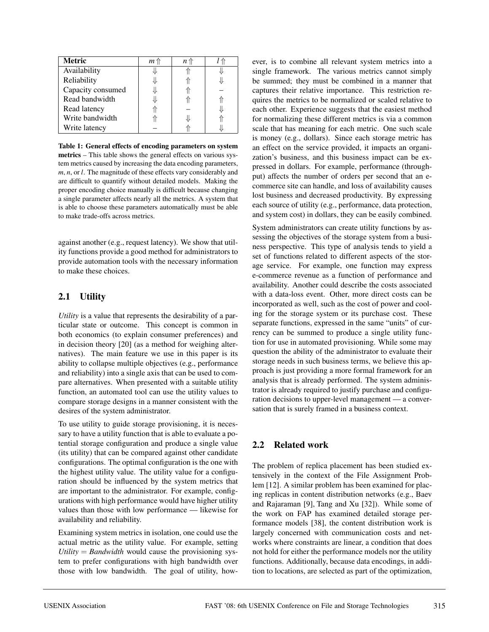| <b>Metric</b>     | <i>m</i> 11 | n 1 |  |
|-------------------|-------------|-----|--|
| Availability      |             |     |  |
| Reliability       |             |     |  |
| Capacity consumed |             |     |  |
| Read bandwidth    |             |     |  |
| Read latency      |             |     |  |
| Write bandwidth   |             |     |  |
| Write latency     |             |     |  |

**Table 1: General effects of encoding parameters on system metrics** – This table shows the general effects on various system metrics caused by increasing the data encoding parameters, *m*, *n*, or *l*. The magnitude of these effects vary considerably and are difficult to quantify without detailed models. Making the proper encoding choice manually is difficult because changing a single parameter affects nearly all the metrics. A system that is able to choose these parameters automatically must be able to make trade-offs across metrics.

against another (e.g., request latency). We show that utility functions provide a good method for administrators to provide automation tools with the necessary information to make these choices.

### **2.1 Utility**

*Utility* is a value that represents the desirability of a particular state or outcome. This concept is common in both economics (to explain consumer preferences) and in decision theory [20] (as a method for weighing alternatives). The main feature we use in this paper is its ability to collapse multiple objectives (e.g., performance and reliability) into a single axis that can be used to compare alternatives. When presented with a suitable utility function, an automated tool can use the utility values to compare storage designs in a manner consistent with the desires of the system administrator.

To use utility to guide storage provisioning, it is necessary to have a utility function that is able to evaluate a potential storage configuration and produce a single value (its utility) that can be compared against other candidate configurations. The optimal configuration is the one with the highest utility value. The utility value for a configuration should be influenced by the system metrics that are important to the administrator. For example, configurations with high performance would have higher utility values than those with low performance — likewise for availability and reliability.

Examining system metrics in isolation, one could use the actual metric as the utility value. For example, setting  $Utility = Bandwidth$  would cause the provisioning system to prefer configurations with high bandwidth over those with low bandwidth. The goal of utility, however, is to combine all relevant system metrics into a single framework. The various metrics cannot simply be summed; they must be combined in a manner that captures their relative importance. This restriction requires the metrics to be normalized or scaled relative to each other. Experience suggests that the easiest method for normalizing these different metrics is via a common scale that has meaning for each metric. One such scale is money (e.g., dollars). Since each storage metric has an effect on the service provided, it impacts an organization's business, and this business impact can be expressed in dollars. For example, performance (throughput) affects the number of orders per second that an ecommerce site can handle, and loss of availability causes lost business and decreased productivity. By expressing each source of utility (e.g., performance, data protection, and system cost) in dollars, they can be easily combined.

System administrators can create utility functions by assessing the objectives of the storage system from a business perspective. This type of analysis tends to yield a set of functions related to different aspects of the storage service. For example, one function may express e-commerce revenue as a function of performance and availability. Another could describe the costs associated with a data-loss event. Other, more direct costs can be incorporated as well, such as the cost of power and cooling for the storage system or its purchase cost. These separate functions, expressed in the same "units" of currency can be summed to produce a single utility function for use in automated provisioning. While some may question the ability of the administrator to evaluate their storage needs in such business terms, we believe this approach is just providing a more formal framework for an analysis that is already performed. The system administrator is already required to justify purchase and configuration decisions to upper-level management — a conversation that is surely framed in a business context.

### **2.2 Related work**

The problem of replica placement has been studied extensively in the context of the File Assignment Problem [12]. A similar problem has been examined for placing replicas in content distribution networks (e.g., Baev and Rajaraman [9], Tang and Xu [32]). While some of the work on FAP has examined detailed storage performance models [38], the content distribution work is largely concerned with communication costs and networks where constraints are linear, a condition that does not hold for either the performance models nor the utility functions. Additionally, because data encodings, in addition to locations, are selected as part of the optimization,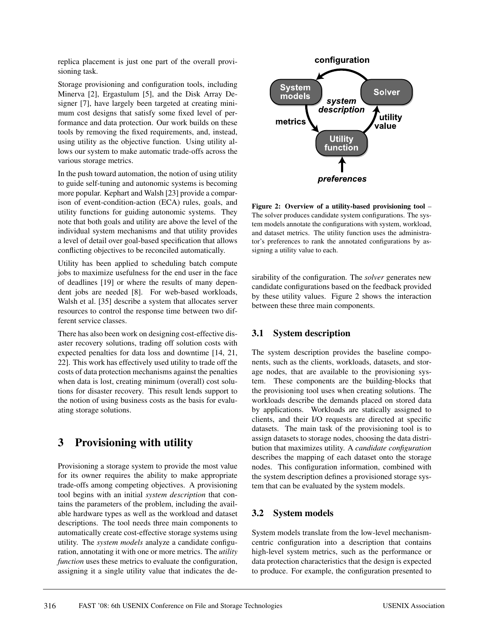replica placement is just one part of the overall provisioning task.

Storage provisioning and configuration tools, including Minerva [2], Ergastulum [5], and the Disk Array Designer [7], have largely been targeted at creating minimum cost designs that satisfy some fixed level of performance and data protection. Our work builds on these tools by removing the fixed requirements, and, instead, using utility as the objective function. Using utility allows our system to make automatic trade-offs across the various storage metrics.

In the push toward automation, the notion of using utility to guide self-tuning and autonomic systems is becoming more popular. Kephart and Walsh [23] provide a comparison of event-condition-action (ECA) rules, goals, and utility functions for guiding autonomic systems. They note that both goals and utility are above the level of the individual system mechanisms and that utility provides a level of detail over goal-based specification that allows conflicting objectives to be reconciled automatically.

Utility has been applied to scheduling batch compute jobs to maximize usefulness for the end user in the face of deadlines [19] or where the results of many dependent jobs are needed [8]. For web-based workloads, Walsh et al. [35] describe a system that allocates server resources to control the response time between two different service classes.

There has also been work on designing cost-effective disaster recovery solutions, trading off solution costs with expected penalties for data loss and downtime [14, 21, 22]. This work has effectively used utility to trade off the costs of data protection mechanisms against the penalties when data is lost, creating minimum (overall) cost solutions for disaster recovery. This result lends support to the notion of using business costs as the basis for evaluating storage solutions.

# **3 Provisioning with utility**

Provisioning a storage system to provide the most value for its owner requires the ability to make appropriate trade-offs among competing objectives. A provisioning tool begins with an initial *system description* that contains the parameters of the problem, including the available hardware types as well as the workload and dataset descriptions. The tool needs three main components to automatically create cost-effective storage systems using utility. The *system models* analyze a candidate configuration, annotating it with one or more metrics. The *utility function* uses these metrics to evaluate the configuration, assigning it a single utility value that indicates the de-



**Figure 2: Overview of a utility-based provisioning tool** – The solver produces candidate system configurations. The system models annotate the configurations with system, workload, and dataset metrics. The utility function uses the administrator's preferences to rank the annotated configurations by assigning a utility value to each.

sirability of the configuration. The *solver* generates new candidate configurations based on the feedback provided by these utility values. Figure 2 shows the interaction between these three main components.

### **3.1 System description**

The system description provides the baseline components, such as the clients, workloads, datasets, and storage nodes, that are available to the provisioning system. These components are the building-blocks that the provisioning tool uses when creating solutions. The workloads describe the demands placed on stored data by applications. Workloads are statically assigned to clients, and their I/O requests are directed at specific datasets. The main task of the provisioning tool is to assign datasets to storage nodes, choosing the data distribution that maximizes utility. A *candidate configuration* describes the mapping of each dataset onto the storage nodes. This configuration information, combined with the system description defines a provisioned storage system that can be evaluated by the system models.

### **3.2 System models**

System models translate from the low-level mechanismcentric configuration into a description that contains high-level system metrics, such as the performance or data protection characteristics that the design is expected to produce. For example, the configuration presented to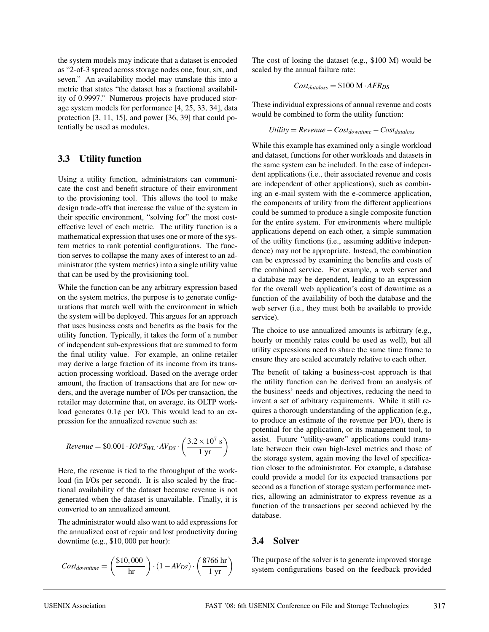the system models may indicate that a dataset is encoded as "2-of-3 spread across storage nodes one, four, six, and seven." An availability model may translate this into a metric that states "the dataset has a fractional availability of 0.9997." Numerous projects have produced storage system models for performance [4, 25, 33, 34], data protection [3, 11, 15], and power [36, 39] that could potentially be used as modules.

#### **3.3 Utility function**

Using a utility function, administrators can communicate the cost and benefit structure of their environment to the provisioning tool. This allows the tool to make design trade-offs that increase the value of the system in their specific environment, "solving for" the most costeffective level of each metric. The utility function is a mathematical expression that uses one or more of the system metrics to rank potential configurations. The function serves to collapse the many axes of interest to an administrator (the system metrics) into a single utility value that can be used by the provisioning tool.

While the function can be any arbitrary expression based on the system metrics, the purpose is to generate configurations that match well with the environment in which the system will be deployed. This argues for an approach that uses business costs and benefits as the basis for the utility function. Typically, it takes the form of a number of independent sub-expressions that are summed to form the final utility value. For example, an online retailer may derive a large fraction of its income from its transaction processing workload. Based on the average order amount, the fraction of transactions that are for new orders, and the average number of I/Os per transaction, the retailer may determine that, on average, its OLTP workload generates  $0.1\phi$  per I/O. This would lead to an expression for the annualized revenue such as:

$$
Revenue = \$0.001 \cdot IOPS_{WL} \cdot AV_{DS} \cdot \left(\frac{3.2 \times 10^7 \text{ s}}{1 \text{ yr}}\right)
$$

Here, the revenue is tied to the throughput of the workload (in I/Os per second). It is also scaled by the fractional availability of the dataset because revenue is not generated when the dataset is unavailable. Finally, it is converted to an annualized amount.

The administrator would also want to add expressions for the annualized cost of repair and lost productivity during downtime (e.g., \$10,000 per hour):

$$
Cost_{downtime} = \left(\frac{\$10,000}{hr}\right) \cdot (1 - AV_{DS}) \cdot \left(\frac{8766 hr}{1 yr}\right)
$$

The cost of losing the dataset (e.g., \$100 M) would be scaled by the annual failure rate:

$$
Cost_{dataloss} = \$100 \text{ M} \cdot AFR_{DS}
$$

These individual expressions of annual revenue and costs would be combined to form the utility function:

$$
Utility = Revenue - Cost_{downtime} - Cost_{database}
$$

While this example has examined only a single workload and dataset, functions for other workloads and datasets in the same system can be included. In the case of independent applications (i.e., their associated revenue and costs are independent of other applications), such as combining an e-mail system with the e-commerce application, the components of utility from the different applications could be summed to produce a single composite function for the entire system. For environments where multiple applications depend on each other, a simple summation of the utility functions (i.e., assuming additive independence) may not be appropriate. Instead, the combination can be expressed by examining the benefits and costs of the combined service. For example, a web server and a database may be dependent, leading to an expression for the overall web application's cost of downtime as a function of the availability of both the database and the web server (i.e., they must both be available to provide service).

The choice to use annualized amounts is arbitrary (e.g., hourly or monthly rates could be used as well), but all utility expressions need to share the same time frame to ensure they are scaled accurately relative to each other.

The benefit of taking a business-cost approach is that the utility function can be derived from an analysis of the business' needs and objectives, reducing the need to invent a set of arbitrary requirements. While it still requires a thorough understanding of the application (e.g., to produce an estimate of the revenue per I/O), there is potential for the application, or its management tool, to assist. Future "utility-aware" applications could translate between their own high-level metrics and those of the storage system, again moving the level of specification closer to the administrator. For example, a database could provide a model for its expected transactions per second as a function of storage system performance metrics, allowing an administrator to express revenue as a function of the transactions per second achieved by the database.

### **3.4 Solver**

The purpose of the solver is to generate improved storage system configurations based on the feedback provided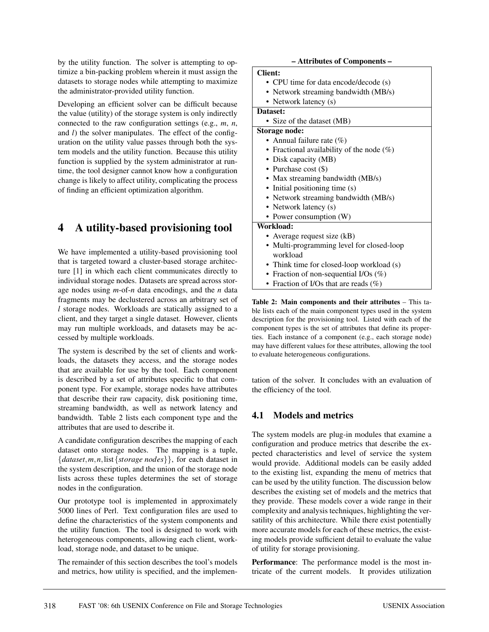by the utility function. The solver is attempting to optimize a bin-packing problem wherein it must assign the datasets to storage nodes while attempting to maximize the administrator-provided utility function.

Developing an efficient solver can be difficult because the value (utility) of the storage system is only indirectly connected to the raw configuration settings (e.g., *m*, *n*, and *l*) the solver manipulates. The effect of the configuration on the utility value passes through both the system models and the utility function. Because this utility function is supplied by the system administrator at runtime, the tool designer cannot know how a configuration change is likely to affect utility, complicating the process of finding an efficient optimization algorithm.

# **4 A utility-based provisioning tool**

We have implemented a utility-based provisioning tool that is targeted toward a cluster-based storage architecture [1] in which each client communicates directly to individual storage nodes. Datasets are spread across storage nodes using *m*-of-*n* data encodings, and the *n* data fragments may be declustered across an arbitrary set of *l* storage nodes. Workloads are statically assigned to a client, and they target a single dataset. However, clients may run multiple workloads, and datasets may be accessed by multiple workloads.

The system is described by the set of clients and workloads, the datasets they access, and the storage nodes that are available for use by the tool. Each component is described by a set of attributes specific to that component type. For example, storage nodes have attributes that describe their raw capacity, disk positioning time, streaming bandwidth, as well as network latency and bandwidth. Table 2 lists each component type and the attributes that are used to describe it.

A candidate configuration describes the mapping of each dataset onto storage nodes. The mapping is a tuple, {*dataset*,*m*,*n*,list{*storage nodes*}}, for each dataset in the system description, and the union of the storage node lists across these tuples determines the set of storage nodes in the configuration.

Our prototype tool is implemented in approximately 5000 lines of Perl. Text configuration files are used to define the characteristics of the system components and the utility function. The tool is designed to work with heterogeneous components, allowing each client, workload, storage node, and dataset to be unique.

The remainder of this section describes the tool's models and metrics, how utility is specified, and the implemen-

#### **– Attributes of Components –**

#### **Client:**

- CPU time for data encode/decode (s)
- Network streaming bandwidth (MB/s)
- Network latency (s)

#### **Dataset:**

- Size of the dataset (MB)
- **Storage node:**
	- Annual failure rate  $(\%)$
	- Fractional availability of the node  $(\%)$
	- Disk capacity (MB)
	- Purchase cost  $(\$)$
	- Max streaming bandwidth (MB/s)
	- Initial positioning time (s)
	- Network streaming bandwidth (MB/s)
	- Network latency (s)
	- Power consumption (W)

#### **Workload:**

- Average request size (kB)
- Multi-programming level for closed-loop workload
- Think time for closed-loop workload (s)
- Fraction of non-sequential I/Os (%)
- Fraction of I/Os that are reads  $(\% )$

**Table 2: Main components and their attributes** – This table lists each of the main component types used in the system description for the provisioning tool. Listed with each of the component types is the set of attributes that define its properties. Each instance of a component (e.g., each storage node) may have different values for these attributes, allowing the tool to evaluate heterogeneous configurations.

tation of the solver. It concludes with an evaluation of the efficiency of the tool.

### **4.1 Models and metrics**

The system models are plug-in modules that examine a configuration and produce metrics that describe the expected characteristics and level of service the system would provide. Additional models can be easily added to the existing list, expanding the menu of metrics that can be used by the utility function. The discussion below describes the existing set of models and the metrics that they provide. These models cover a wide range in their complexity and analysis techniques, highlighting the versatility of this architecture. While there exist potentially more accurate models for each of these metrics, the existing models provide sufficient detail to evaluate the value of utility for storage provisioning.

**Performance**: The performance model is the most intricate of the current models. It provides utilization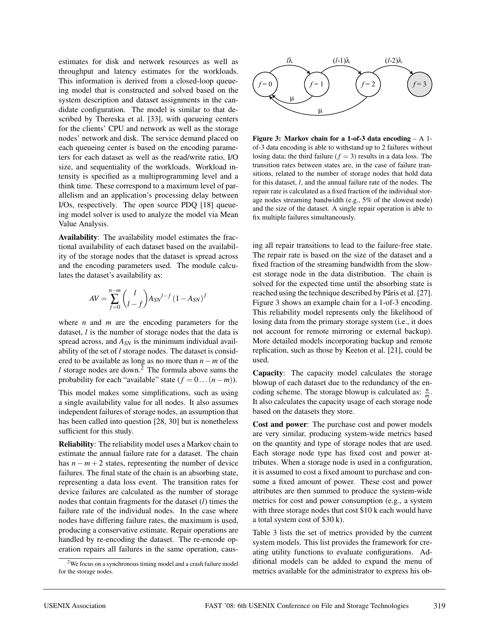estimates for disk and network resources as well as throughput and latency estimates for the workloads. This information is derived from a closed-loop queueing model that is constructed and solved based on the system description and dataset assignments in the candidate configuration. The model is similar to that described by Thereska et al. [33], with queueing centers for the clients' CPU and network as well as the storage nodes' network and disk. The service demand placed on each queueing center is based on the encoding parameters for each dataset as well as the read/write ratio, I/O size, and sequentiality of the workloads. Workload intensity is specified as a multiprogramming level and a think time. These correspond to a maximum level of parallelism and an application's processing delay between I/Os, respectively. The open source PDQ [18] queueing model solver is used to analyze the model via Mean Value Analysis.

**Availability**: The availability model estimates the fractional availability of each dataset based on the availability of the storage nodes that the dataset is spread across and the encoding parameters used. The module calculates the dataset's availability as:

$$
AV = \sum_{f=0}^{n-m} {l \choose l-f} A_{SN}^{l-f} (1 - A_{SN})^f
$$

where *n* and *m* are the encoding parameters for the dataset, *l* is the number of storage nodes that the data is spread across, and *ASN* is the minimum individual availability of the set of *l* storage nodes. The dataset is considered to be available as long as no more than *n*−*m* of the  $l$  storage nodes are down.<sup>2</sup> The formula above sums the probability for each "available" state  $(f = 0 \dots (n - m))$ .

This model makes some simplifications, such as using a single availability value for all nodes. It also assumes independent failures of storage nodes, an assumption that has been called into question [28, 30] but is nonetheless sufficient for this study.

**Reliability**: The reliability model uses a Markov chain to estimate the annual failure rate for a dataset. The chain has  $n - m + 2$  states, representing the number of device failures. The final state of the chain is an absorbing state, representing a data loss event. The transition rates for device failures are calculated as the number of storage nodes that contain fragments for the dataset (*l*) times the failure rate of the individual nodes. In the case where nodes have differing failure rates, the maximum is used, producing a conservative estimate. Repair operations are handled by re-encoding the dataset. The re-encode operation repairs all failures in the same operation, caus-



**Figure 3: Markov chain for a 1-of-3 data encoding** – A 1 of-3 data encoding is able to withstand up to 2 failures without losing data; the third failure  $(f = 3)$  results in a data loss. The transition rates between states are, in the case of failure transitions, related to the number of storage nodes that hold data for this dataset, *l*, and the annual failure rate of the nodes. The repair rate is calculated as a fixed fraction of the individual storage nodes streaming bandwidth (e.g., 5% of the slowest node) and the size of the dataset. A single repair operation is able to fix multiple failures simultaneously.

ing all repair transitions to lead to the failure-free state. The repair rate is based on the size of the dataset and a fixed fraction of the streaming bandwidth from the slowest storage node in the data distribution. The chain is solved for the expected time until the absorbing state is reached using the technique described by Pâris et al. [27]. Figure 3 shows an example chain for a 1-of-3 encoding. This reliability model represents only the likelihood of losing data from the primary storage system (i.e., it does not account for remote mirroring or external backup). More detailed models incorporating backup and remote replication, such as those by Keeton et al. [21], could be used.

**Capacity**: The capacity model calculates the storage blowup of each dataset due to the redundancy of the encoding scheme. The storage blowup is calculated as:  $\frac{n}{m}$ . It also calculates the capacity usage of each storage node based on the datasets they store.

**Cost and power**: The purchase cost and power models are very similar, producing system-wide metrics based on the quantity and type of storage nodes that are used. Each storage node type has fixed cost and power attributes. When a storage node is used in a configuration, it is assumed to cost a fixed amount to purchase and consume a fixed amount of power. These cost and power attributes are then summed to produce the system-wide metrics for cost and power consumption (e.g., a system with three storage nodes that cost \$10 k each would have a total system cost of \$30 k).

Table 3 lists the set of metrics provided by the current system models. This list provides the framework for creating utility functions to evaluate configurations. Additional models can be added to expand the menu of metrics available for the administrator to express his ob-

<sup>2</sup>We focus on a synchronous timing model and a crash failure model for the storage nodes.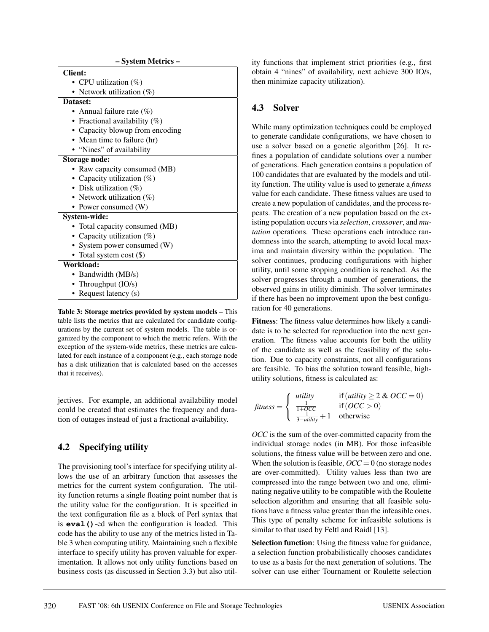| - System Metrics -               |  |  |  |
|----------------------------------|--|--|--|
| <b>Client:</b>                   |  |  |  |
| • CPU utilization $(\%)$         |  |  |  |
| • Network utilization $(\%)$     |  |  |  |
| Dataset:                         |  |  |  |
| Annual failure rate $(\%)$       |  |  |  |
| • Fractional availability $(\%)$ |  |  |  |
| • Capacity blowup from encoding  |  |  |  |
| • Mean time to failure (hr)      |  |  |  |
| • "Nines" of availability        |  |  |  |
| Storage node:                    |  |  |  |
| • Raw capacity consumed (MB)     |  |  |  |
| • Capacity utilization $(\%)$    |  |  |  |
| • Disk utilization $(\%)$        |  |  |  |
| • Network utilization (%)        |  |  |  |
| • Power consumed (W)             |  |  |  |
| System-wide:                     |  |  |  |
| • Total capacity consumed (MB)   |  |  |  |
| • Capacity utilization $(\%)$    |  |  |  |
| • System power consumed (W)      |  |  |  |
| • Total system cost (\$)         |  |  |  |
| Workload:                        |  |  |  |
| • Bandwidth (MB/s)               |  |  |  |
| • Throughput $(IO/s)$            |  |  |  |
| • Request latency (s)            |  |  |  |
|                                  |  |  |  |

**Table 3: Storage metrics provided by system models** – This table lists the metrics that are calculated for candidate configurations by the current set of system models. The table is organized by the component to which the metric refers. With the exception of the system-wide metrics, these metrics are calculated for each instance of a component (e.g., each storage node has a disk utilization that is calculated based on the accesses that it receives).

jectives. For example, an additional availability model could be created that estimates the frequency and duration of outages instead of just a fractional availability.

### **4.2 Specifying utility**

The provisioning tool's interface for specifying utility allows the use of an arbitrary function that assesses the metrics for the current system configuration. The utility function returns a single floating point number that is the utility value for the configuration. It is specified in the text configuration file as a block of Perl syntax that is **eval()**-ed when the configuration is loaded. This code has the ability to use any of the metrics listed in Table 3 when computing utility. Maintaining such a flexible interface to specify utility has proven valuable for experimentation. It allows not only utility functions based on business costs (as discussed in Section 3.3) but also utility functions that implement strict priorities (e.g., first obtain 4 "nines" of availability, next achieve 300 IO/s, then minimize capacity utilization).

#### **4.3 Solver**

While many optimization techniques could be employed to generate candidate configurations, we have chosen to use a solver based on a genetic algorithm [26]. It refines a population of candidate solutions over a number of generations. Each generation contains a population of 100 candidates that are evaluated by the models and utility function. The utility value is used to generate a *fitness* value for each candidate. These fitness values are used to create a new population of candidates, and the process repeats. The creation of a new population based on the existing population occurs via *selection*, *crossover*, and *mutation* operations. These operations each introduce randomness into the search, attempting to avoid local maxima and maintain diversity within the population. The solver continues, producing configurations with higher utility, until some stopping condition is reached. As the solver progresses through a number of generations, the observed gains in utility diminish. The solver terminates if there has been no improvement upon the best configuration for 40 generations.

**Fitness**: The fitness value determines how likely a candidate is to be selected for reproduction into the next generation. The fitness value accounts for both the utility of the candidate as well as the feasibility of the solution. Due to capacity constraints, not all configurations are feasible. To bias the solution toward feasible, highutility solutions, fitness is calculated as:

$$
fitness = \begin{cases} \text{utility} & \text{if (utility} \ge 2 \text{ & } OCC = 0) \\ \frac{1}{1 + OCC} & \text{if } (OCC > 0) \\ \frac{1}{3 - \text{utility}} + 1 & \text{otherwise} \end{cases}
$$

*OCC* is the sum of the over-committed capacity from the individual storage nodes (in MB). For those infeasible solutions, the fitness value will be between zero and one. When the solution is feasible,  $OCC = 0$  (no storage nodes are over-committed). Utility values less than two are compressed into the range between two and one, eliminating negative utility to be compatible with the Roulette selection algorithm and ensuring that all feasible solutions have a fitness value greater than the infeasible ones. This type of penalty scheme for infeasible solutions is similar to that used by Feltl and Raidl [13].

**Selection function**: Using the fitness value for guidance, a selection function probabilistically chooses candidates to use as a basis for the next generation of solutions. The solver can use either Tournament or Roulette selection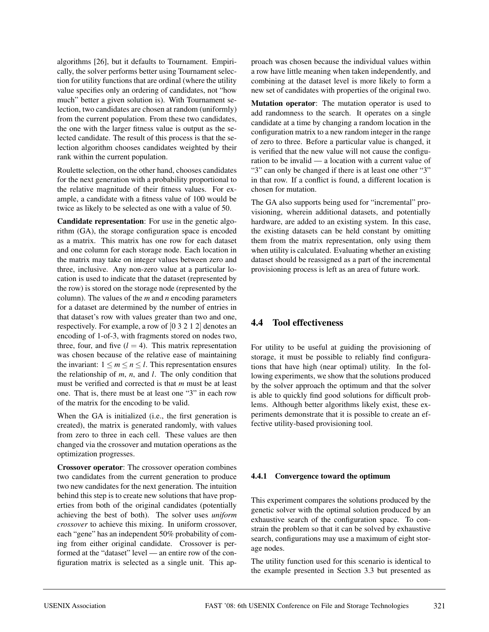algorithms [26], but it defaults to Tournament. Empirically, the solver performs better using Tournament selection for utility functions that are ordinal (where the utility value specifies only an ordering of candidates, not "how much" better a given solution is). With Tournament selection, two candidates are chosen at random (uniformly) from the current population. From these two candidates, the one with the larger fitness value is output as the selected candidate. The result of this process is that the selection algorithm chooses candidates weighted by their rank within the current population.

Roulette selection, on the other hand, chooses candidates for the next generation with a probability proportional to the relative magnitude of their fitness values. For example, a candidate with a fitness value of 100 would be twice as likely to be selected as one with a value of 50.

**Candidate representation**: For use in the genetic algorithm (GA), the storage configuration space is encoded as a matrix. This matrix has one row for each dataset and one column for each storage node. Each location in the matrix may take on integer values between zero and three, inclusive. Any non-zero value at a particular location is used to indicate that the dataset (represented by the row) is stored on the storage node (represented by the column). The values of the *m* and *n* encoding parameters for a dataset are determined by the number of entries in that dataset's row with values greater than two and one, respectively. For example, a row of [03212] denotes an encoding of 1-of-3, with fragments stored on nodes two, three, four, and five  $(l = 4)$ . This matrix representation was chosen because of the relative ease of maintaining the invariant:  $1 \le m \le n \le l$ . This representation ensures the relationship of *m*, *n*, and *l*. The only condition that must be verified and corrected is that *m* must be at least one. That is, there must be at least one "3" in each row of the matrix for the encoding to be valid.

When the GA is initialized (i.e., the first generation is created), the matrix is generated randomly, with values from zero to three in each cell. These values are then changed via the crossover and mutation operations as the optimization progresses.

**Crossover operator**: The crossover operation combines two candidates from the current generation to produce two new candidates for the next generation. The intuition behind this step is to create new solutions that have properties from both of the original candidates (potentially achieving the best of both). The solver uses *uniform crossover* to achieve this mixing. In uniform crossover, each "gene" has an independent 50% probability of coming from either original candidate. Crossover is performed at the "dataset" level — an entire row of the configuration matrix is selected as a single unit. This approach was chosen because the individual values within a row have little meaning when taken independently, and combining at the dataset level is more likely to form a new set of candidates with properties of the original two.

**Mutation operator**: The mutation operator is used to add randomness to the search. It operates on a single candidate at a time by changing a random location in the configuration matrix to a new random integer in the range of zero to three. Before a particular value is changed, it is verified that the new value will not cause the configuration to be invalid — a location with a current value of "3" can only be changed if there is at least one other "3" in that row. If a conflict is found, a different location is chosen for mutation.

The GA also supports being used for "incremental" provisioning, wherein additional datasets, and potentially hardware, are added to an existing system. In this case, the existing datasets can be held constant by omitting them from the matrix representation, only using them when utility is calculated. Evaluating whether an existing dataset should be reassigned as a part of the incremental provisioning process is left as an area of future work.

### **4.4 Tool effectiveness**

For utility to be useful at guiding the provisioning of storage, it must be possible to reliably find configurations that have high (near optimal) utility. In the following experiments, we show that the solutions produced by the solver approach the optimum and that the solver is able to quickly find good solutions for difficult problems. Although better algorithms likely exist, these experiments demonstrate that it is possible to create an effective utility-based provisioning tool.

#### **4.4.1 Convergence toward the optimum**

This experiment compares the solutions produced by the genetic solver with the optimal solution produced by an exhaustive search of the configuration space. To constrain the problem so that it can be solved by exhaustive search, configurations may use a maximum of eight storage nodes.

The utility function used for this scenario is identical to the example presented in Section 3.3 but presented as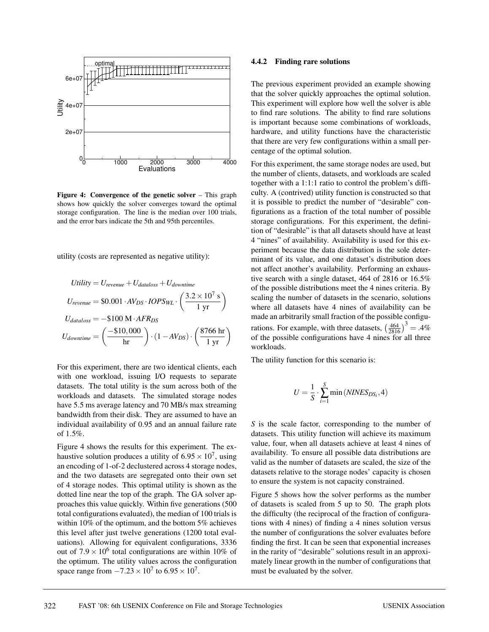

**Figure 4: Convergence of the genetic solver** – This graph shows how quickly the solver converges toward the optimal storage configuration. The line is the median over 100 trials, and the error bars indicate the 5th and 95th percentiles.

utility (costs are represented as negative utility):

$$
Utility = U_{revenue} + U_{dataloss} + U_{downtime}
$$
\n
$$
U_{revenue} = \$0.001 \cdot AV_{DS} \cdot IOPS_{WL} \cdot \left(\frac{3.2 \times 10^7 \text{ s}}{1 \text{ yr}}\right)
$$
\n
$$
U_{dataloss} = -\$100 \text{ M} \cdot AFR_{DS}
$$
\n
$$
U_{downtime} = \left(\frac{-\$10,000}{\text{ hr}}\right) \cdot (1 - AV_{DS}) \cdot \left(\frac{8766 \text{ hr}}{1 \text{ yr}}\right)
$$

For this experiment, there are two identical clients, each with one workload, issuing I/O requests to separate datasets. The total utility is the sum across both of the workloads and datasets. The simulated storage nodes have 5.5 ms average latency and 70 MB/s max streaming bandwidth from their disk. They are assumed to have an individual availability of 0.95 and an annual failure rate of 1.5%.

Figure 4 shows the results for this experiment. The exhaustive solution produces a utility of  $6.95 \times 10^7$ , using an encoding of 1-of-2 declustered across 4 storage nodes, and the two datasets are segregated onto their own set of 4 storage nodes. This optimal utility is shown as the dotted line near the top of the graph. The GA solver approaches this value quickly. Within five generations (500 total configurations evaluated), the median of 100 trials is within 10% of the optimum, and the bottom 5% achieves this level after just twelve generations (1200 total evaluations). Allowing for equivalent configurations, 3336 out of  $7.9 \times 10^6$  total configurations are within 10% of the optimum. The utility values across the configuration space range from  $-7.23 \times 10^7$  to  $6.95 \times 10^7$ .

#### **4.4.2 Finding rare solutions**

The previous experiment provided an example showing that the solver quickly approaches the optimal solution. This experiment will explore how well the solver is able to find rare solutions. The ability to find rare solutions is important because some combinations of workloads, hardware, and utility functions have the characteristic that there are very few configurations within a small percentage of the optimal solution.

For this experiment, the same storage nodes are used, but the number of clients, datasets, and workloads are scaled together with a 1:1:1 ratio to control the problem's difficulty. A (contrived) utility function is constructed so that it is possible to predict the number of "desirable" configurations as a fraction of the total number of possible storage configurations. For this experiment, the definition of "desirable" is that all datasets should have at least 4 "nines" of availability. Availability is used for this experiment because the data distribution is the sole determinant of its value, and one dataset's distribution does not affect another's availability. Performing an exhaustive search with a single dataset, 464 of 2816 or 16.5% of the possible distributions meet the 4 nines criteria. By scaling the number of datasets in the scenario, solutions where all datasets have 4 nines of availability can be made an arbitrarily small fraction of the possible configurations. For example, with three datasets,  $\left(\frac{464}{2816}\right)^3 = .4\%$ of the possible configurations have 4 nines for all three workloads.

The utility function for this scenario is:

$$
U = \frac{1}{S} \cdot \sum_{i=1}^{S} \min (NINES_{DS_i}, 4)
$$

*S* is the scale factor, corresponding to the number of datasets. This utility function will achieve its maximum value, four, when all datasets achieve at least 4 nines of availability. To ensure all possible data distributions are valid as the number of datasets are scaled, the size of the datasets relative to the storage nodes' capacity is chosen to ensure the system is not capacity constrained.

Figure 5 shows how the solver performs as the number of datasets is scaled from 5 up to 50. The graph plots the difficulty (the reciprocal of the fraction of configurations with 4 nines) of finding a 4 nines solution versus the number of configurations the solver evaluates before finding the first. It can be seen that exponential increases in the rarity of "desirable" solutions result in an approximately linear growth in the number of configurations that must be evaluated by the solver.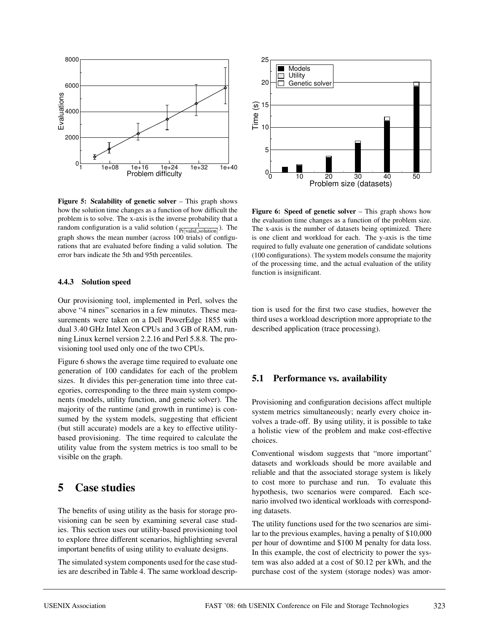

**Figure 5: Scalability of genetic solver** – This graph shows how the solution time changes as a function of how difficult the problem is to solve. The x-axis is the inverse probability that a random configuration is a valid solution  $(\frac{1}{Pr[{\text{valid}}_{\text{solution}}]})$ . The graph shows the mean number (across 100 trials) of configurations that are evaluated before finding a valid solution. The error bars indicate the 5th and 95th percentiles.

#### **4.4.3 Solution speed**

Our provisioning tool, implemented in Perl, solves the above "4 nines" scenarios in a few minutes. These measurements were taken on a Dell PowerEdge 1855 with dual 3.40 GHz Intel Xeon CPUs and 3 GB of RAM, running Linux kernel version 2.2.16 and Perl 5.8.8. The provisioning tool used only one of the two CPUs.

Figure 6 shows the average time required to evaluate one generation of 100 candidates for each of the problem sizes. It divides this per-generation time into three categories, corresponding to the three main system components (models, utility function, and genetic solver). The majority of the runtime (and growth in runtime) is consumed by the system models, suggesting that efficient (but still accurate) models are a key to effective utilitybased provisioning. The time required to calculate the utility value from the system metrics is too small to be visible on the graph.

# **5 Case studies**

The benefits of using utility as the basis for storage provisioning can be seen by examining several case studies. This section uses our utility-based provisioning tool to explore three different scenarios, highlighting several important benefits of using utility to evaluate designs.

The simulated system components used for the case studies are described in Table 4. The same workload descrip-



**Figure 6: Speed of genetic solver** – This graph shows how the evaluation time changes as a function of the problem size. The x-axis is the number of datasets being optimized. There is one client and workload for each. The y-axis is the time required to fully evaluate one generation of candidate solutions (100 configurations). The system models consume the majority of the processing time, and the actual evaluation of the utility function is insignificant.

tion is used for the first two case studies, however the third uses a workload description more appropriate to the described application (trace processing).

#### **5.1 Performance vs. availability**

Provisioning and configuration decisions affect multiple system metrics simultaneously; nearly every choice involves a trade-off. By using utility, it is possible to take a holistic view of the problem and make cost-effective choices.

Conventional wisdom suggests that "more important" datasets and workloads should be more available and reliable and that the associated storage system is likely to cost more to purchase and run. To evaluate this hypothesis, two scenarios were compared. Each scenario involved two identical workloads with corresponding datasets.

The utility functions used for the two scenarios are similar to the previous examples, having a penalty of \$10,000 per hour of downtime and \$100 M penalty for data loss. In this example, the cost of electricity to power the system was also added at a cost of \$0.12 per kWh, and the purchase cost of the system (storage nodes) was amor-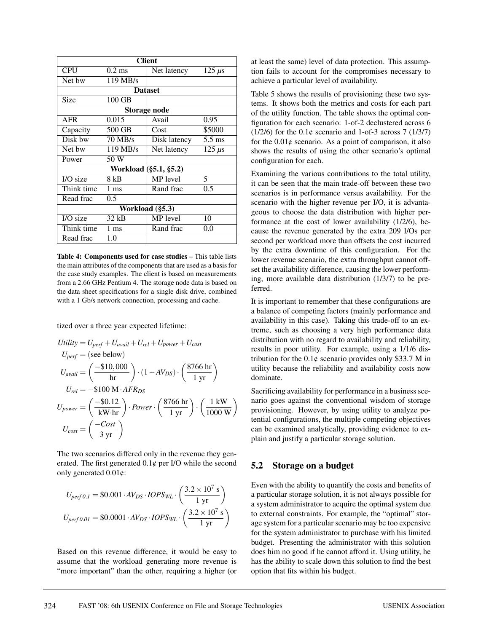| <b>Client</b>   |                       |                     |                  |  |  |  |
|-----------------|-----------------------|---------------------|------------------|--|--|--|
| <b>CPU</b>      | $0.2$ ms              | Net latency         | $125 \mu s$      |  |  |  |
| Net bw          | 119 MB/s              |                     |                  |  |  |  |
|                 | <b>Dataset</b>        |                     |                  |  |  |  |
| Size            | 100 GB                |                     |                  |  |  |  |
|                 |                       | <b>Storage node</b> |                  |  |  |  |
| <b>AFR</b>      | 0.015                 | Avail               | 0.95             |  |  |  |
| Capacity        | 500 GB                | Cost                | \$5000           |  |  |  |
| Disk bw         | 70 MB/s               | Disk latency        | $5.5 \text{ ms}$ |  |  |  |
| Net bw          | 119 MB/s              | Net latency         | $125 \mu s$      |  |  |  |
| Power           | 50 W                  |                     |                  |  |  |  |
|                 | Workload (§5.1, §5.2) |                     |                  |  |  |  |
| I/O size        | 8 kB                  | MP level            | 5                |  |  |  |
| Think time      | $1 \text{ ms}$        | Rand frac           | $0.5^{\circ}$    |  |  |  |
| Read frac       | 0.5                   |                     |                  |  |  |  |
| Workload (§5.3) |                       |                     |                  |  |  |  |
| I/O size        | 32 kB                 | MP level            | 10               |  |  |  |
| Think time      | $1 \text{ ms}$        | Rand frac           | 0.0              |  |  |  |
| Read frac       | 1.0                   |                     |                  |  |  |  |

**Table 4: Components used for case studies** – This table lists the main attributes of the components that are used as a basis for the case study examples. The client is based on measurements from a 2.66 GHz Pentium 4. The storage node data is based on the data sheet specifications for a single disk drive, combined with a 1 Gb/s network connection, processing and cache.

tized over a three year expected lifetime:

$$
Utility = U_{perf} + U_{avail} + U_{rel} + U_{power} + U_{cost}
$$
\n
$$
U_{perf} = (see below)
$$
\n
$$
U_{avail} = \left(\frac{-\$10,000}{hr}\right) \cdot (1 - AV_{DS}) \cdot \left(\frac{8766 hr}{1 yr}\right)
$$
\n
$$
U_{rel} = -\$100 M \cdot AFR_{DS}
$$
\n
$$
U_{power} = \left(\frac{-\$0.12}{kW \cdot hr}\right) \cdot Power \cdot \left(\frac{8766 hr}{1 yr}\right) \cdot \left(\frac{1 kW}{1000 W}\right)
$$
\n
$$
U_{cost} = \left(\frac{-Cost}{3 yr}\right)
$$

The two scenarios differed only in the revenue they generated. The first generated 0.1¢ per I/O while the second only generated 0.01¢:

$$
U_{perf 0.1} = \$0.001 \cdot AV_{DS} \cdot IOPS_{WL} \cdot \left(\frac{3.2 \times 10^7 \text{ s}}{1 \text{ yr}}\right)
$$

$$
U_{perf 0.01} = \$0.0001 \cdot AV_{DS} \cdot IOPS_{WL} \cdot \left(\frac{3.2 \times 10^7 \text{ s}}{1 \text{ yr}}\right)
$$

Based on this revenue difference, it would be easy to assume that the workload generating more revenue is "more important" than the other, requiring a higher (or at least the same) level of data protection. This assumption fails to account for the compromises necessary to achieve a particular level of availability.

Table 5 shows the results of provisioning these two systems. It shows both the metrics and costs for each part of the utility function. The table shows the optimal configuration for each scenario: 1-of-2 declustered across 6  $(1/2/6)$  for the 0.1¢ scenario and 1-of-3 across 7 (1/3/7) for the  $0.01\phi$  scenario. As a point of comparison, it also shows the results of using the other scenario's optimal configuration for each.

Examining the various contributions to the total utility, it can be seen that the main trade-off between these two scenarios is in performance versus availability. For the scenario with the higher revenue per I/O, it is advantageous to choose the data distribution with higher performance at the cost of lower availability (1/2/6), because the revenue generated by the extra 209 I/Os per second per workload more than offsets the cost incurred by the extra downtime of this configuration. For the lower revenue scenario, the extra throughput cannot offset the availability difference, causing the lower performing, more available data distribution (1/3/7) to be preferred.

It is important to remember that these configurations are a balance of competing factors (mainly performance and availability in this case). Taking this trade-off to an extreme, such as choosing a very high performance data distribution with no regard to availability and reliability, results in poor utility. For example, using a 1/1/6 distribution for the  $0.1\phi$  scenario provides only \$33.7 M in utility because the reliability and availability costs now dominate.

Sacrificing availability for performance in a business scenario goes against the conventional wisdom of storage provisioning. However, by using utility to analyze potential configurations, the multiple competing objectives can be examined analytically, providing evidence to explain and justify a particular storage solution.

#### **5.2 Storage on a budget**

Even with the ability to quantify the costs and benefits of a particular storage solution, it is not always possible for a system administrator to acquire the optimal system due to external constraints. For example, the "optimal" storage system for a particular scenario may be too expensive for the system administrator to purchase with his limited budget. Presenting the administrator with this solution does him no good if he cannot afford it. Using utility, he has the ability to scale down this solution to find the best option that fits within his budget.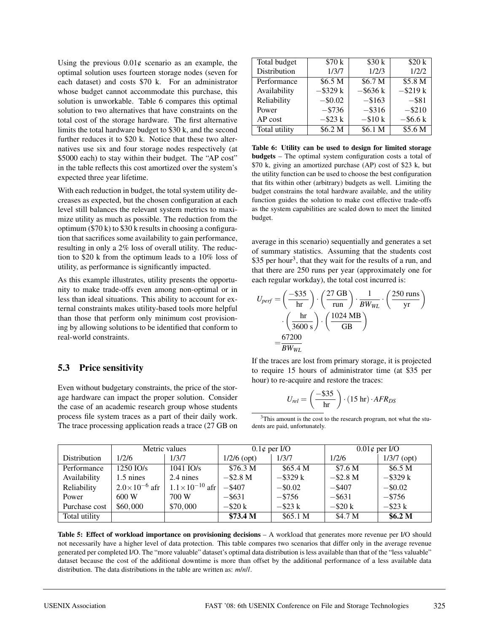Using the previous  $0.01\phi$  scenario as an example, the optimal solution uses fourteen storage nodes (seven for each dataset) and costs \$70 k. For an administrator whose budget cannot accommodate this purchase, this solution is unworkable. Table 6 compares this optimal solution to two alternatives that have constraints on the total cost of the storage hardware. The first alternative limits the total hardware budget to \$30 k, and the second further reduces it to \$20 k. Notice that these two alternatives use six and four storage nodes respectively (at \$5000 each) to stay within their budget. The "AP cost" in the table reflects this cost amortized over the system's expected three year lifetime.

With each reduction in budget, the total system utility decreases as expected, but the chosen configuration at each level still balances the relevant system metrics to maximize utility as much as possible. The reduction from the optimum (\$70 k) to \$30 k results in choosing a configuration that sacrifices some availability to gain performance, resulting in only a 2% loss of overall utility. The reduction to \$20 k from the optimum leads to a 10% loss of utility, as performance is significantly impacted.

As this example illustrates, utility presents the opportunity to make trade-offs even among non-optimal or in less than ideal situations. This ability to account for external constraints makes utility-based tools more helpful than those that perform only minimum cost provisioning by allowing solutions to be identified that conform to real-world constraints.

#### **5.3 Price sensitivity**

Even without budgetary constraints, the price of the storage hardware can impact the proper solution. Consider the case of an academic research group whose students process file system traces as a part of their daily work. The trace processing application reads a trace (27 GB on

| Total budget  | \$70 k      | \$30k       | \$20k       |
|---------------|-------------|-------------|-------------|
| Distribution  | 1/3/7       | 1/2/3       | 1/2/2       |
| Performance   | \$6.5 M     | \$6.7 M     | \$5.8 M     |
| Availability  | $-$ \$329 k | $-$ \$636 k | $-$ \$219 k |
| Reliability   | $-$ \$0.02  | $-$ \$163   | $-$ \$81    |
| Power         | $-$ \$736   | $-$ \$316   | $-$ \$210   |
| AP cost       | $-$ \$23 k  | $-$ \$10 k  | $-$ \$6.6 k |
| Total utility | \$6.2 M     | \$6.1 M     | \$5.6 M     |

**Table 6: Utility can be used to design for limited storage budgets** – The optimal system configuration costs a total of \$70 k, giving an amortized purchase (AP) cost of \$23 k, but the utility function can be used to choose the best configuration that fits within other (arbitrary) budgets as well. Limiting the budget constrains the total hardware available, and the utility function guides the solution to make cost effective trade-offs as the system capabilities are scaled down to meet the limited budget.

average in this scenario) sequentially and generates a set of summary statistics. Assuming that the students cost \$35 per hour<sup>3</sup>, that they wait for the results of a run, and that there are 250 runs per year (approximately one for each regular workday), the total cost incurred is:

$$
U_{perf} = \left(\frac{-\$35}{\text{hr}}\right) \cdot \left(\frac{27 \text{ GB}}{\text{run}}\right) \cdot \frac{1}{BW_{WL}} \cdot \left(\frac{250 \text{ runs}}{\text{yr}}\right)
$$

$$
\cdot \left(\frac{\text{hr}}{3600 \text{ s}}\right) \cdot \left(\frac{1024 \text{ MB}}{\text{GB}}\right)
$$

$$
= \frac{67200}{BW_{WL}}
$$

If the traces are lost from primary storage, it is projected to require 15 hours of administrator time (at \$35 per hour) to re-acquire and restore the traces:

$$
U_{rel} = \left(\frac{-\$35}{\text{hr}}\right) \cdot (15 \text{ hr}) \cdot AFR_{DS}
$$

<sup>3</sup>This amount is the cost to the research program, not what the students are paid, unfortunately.

|               | Metric values          |                           | $0.1\phi$ per I/O   |             | $0.01\phi$ per I/O |                    |
|---------------|------------------------|---------------------------|---------------------|-------------|--------------------|--------------------|
| Distribution  | 1/2/6                  | 1/3/7                     | $1/2/6$ (opt)       | 1/3/7       | 1/2/6              | $1/3/7$ (opt)      |
| Performance   | $1250$ IO/s            | $1041$ $IO/s$             | \$76.3 <sub>M</sub> | \$65.4 M\$  | \$7.6 M            | \$6.5 M            |
| Availability  | $1.5$ nines            | 2.4 nines                 | $-$ \$2.8 M         | $-$ \$329 k | $-$ \$2.8 M        | $-$ \$329 k        |
| Reliability   | $2.0\times10^{-6}$ afr | $1.1 \times 10^{-10}$ afr | $-$ \$407           | $-$ \$0.02  | $-$ \$407          | $-$ \$0.02         |
| Power         | 600W                   | 700 W                     | $-$ \$631           | $-$ \$756   | $-$ \$631          | $-$ \$756          |
| Purchase cost | \$60,000               | \$70,000                  | $-$ \$20 k          | $-$ \$23 k  | $-$ \$20 k         | $-$ \$23 k         |
| Total utility |                        |                           | \$73.4 <sub>M</sub> | \$65.1 M    | \$4.7 M            | \$6.2 <sub>M</sub> |

**Table 5: Effect of workload importance on provisioning decisions** – A workload that generates more revenue per I/O should not necessarily have a higher level of data protection. This table compares two scenarios that differ only in the average revenue generated per completed I/O. The "more valuable" dataset's optimal data distribution is less available than that of the "less valuable" dataset because the cost of the additional downtime is more than offset by the additional performance of a less available data distribution. The data distributions in the table are written as: *m*/*n*/*l*.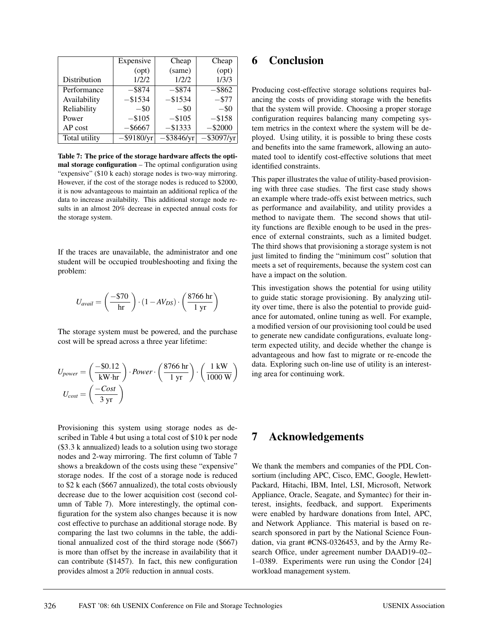|               | Expensive     | Cheap         | Cheap      |
|---------------|---------------|---------------|------------|
|               | (opt)         | (same)        | (opt)      |
| Distribution  | 1/2/2         | 1/2/2         | 1/3/3      |
| Performance   | $-$ \$874     | $-$ \$874     | $-$ \$862  |
| Availability  | $-$ \$1534    | $-$ \$1534    | $- $77$    |
| Reliability   | $-$ \$0       | $-$ \$0       | $-$ \$0    |
| Power         | $-$105$       | $-$105$       | $-$ \$158  |
| AP cost       | $-$ \$6667    | $-$ \$1333    | $-$ \$2000 |
| Total utility | $-$ \$9180/yr | $-$ \$3846/yr |            |

**Table 7: The price of the storage hardware affects the optimal storage configuration** – The optimal configuration using "expensive" (\$10 k each) storage nodes is two-way mirroring. However, if the cost of the storage nodes is reduced to \$2000, it is now advantageous to maintain an additional replica of the data to increase availability. This additional storage node results in an almost 20% decrease in expected annual costs for the storage system.

If the traces are unavailable, the administrator and one student will be occupied troubleshooting and fixing the problem:

$$
U_{avail} = \left(\frac{-\$70}{\mathrm{hr}}\right) \cdot (1 - AV_{DS}) \cdot \left(\frac{8766 \mathrm{ hr}}{1 \mathrm{ yr}}\right)
$$

The storage system must be powered, and the purchase cost will be spread across a three year lifetime:

$$
U_{power} = \left(\frac{-\$0.12}{kW \cdot hr}\right) \cdot Power \cdot \left(\frac{8766 hr}{1 yr}\right) \cdot \left(\frac{1 kW}{1000 W}\right)
$$

$$
U_{cost} = \left(\frac{-Cost}{3 yr}\right)
$$

Provisioning this system using storage nodes as described in Table 4 but using a total cost of \$10 k per node (\$3.3 k annualized) leads to a solution using two storage nodes and 2-way mirroring. The first column of Table 7 shows a breakdown of the costs using these "expensive" storage nodes. If the cost of a storage node is reduced to \$2 k each (\$667 annualized), the total costs obviously decrease due to the lower acquisition cost (second column of Table 7). More interestingly, the optimal configuration for the system also changes because it is now cost effective to purchase an additional storage node. By comparing the last two columns in the table, the additional annualized cost of the third storage node (\$667) is more than offset by the increase in availability that it can contribute (\$1457). In fact, this new configuration provides almost a 20% reduction in annual costs.

### **6 Conclusion**

Producing cost-effective storage solutions requires balancing the costs of providing storage with the benefits that the system will provide. Choosing a proper storage configuration requires balancing many competing system metrics in the context where the system will be deployed. Using utility, it is possible to bring these costs and benefits into the same framework, allowing an automated tool to identify cost-effective solutions that meet identified constraints.

This paper illustrates the value of utility-based provisioning with three case studies. The first case study shows an example where trade-offs exist between metrics, such as performance and availability, and utility provides a method to navigate them. The second shows that utility functions are flexible enough to be used in the presence of external constraints, such as a limited budget. The third shows that provisioning a storage system is not just limited to finding the "minimum cost" solution that meets a set of requirements, because the system cost can have a impact on the solution.

This investigation shows the potential for using utility to guide static storage provisioning. By analyzing utility over time, there is also the potential to provide guidance for automated, online tuning as well. For example, a modified version of our provisioning tool could be used to generate new candidate configurations, evaluate longterm expected utility, and decide whether the change is advantageous and how fast to migrate or re-encode the data. Exploring such on-line use of utility is an interesting area for continuing work.

### **7 Acknowledgements**

We thank the members and companies of the PDL Consortium (including APC, Cisco, EMC, Google, Hewlett-Packard, Hitachi, IBM, Intel, LSI, Microsoft, Network Appliance, Oracle, Seagate, and Symantec) for their interest, insights, feedback, and support. Experiments were enabled by hardware donations from Intel, APC, and Network Appliance. This material is based on research sponsored in part by the National Science Foundation, via grant #CNS-0326453, and by the Army Research Office, under agreement number DAAD19–02– 1–0389. Experiments were run using the Condor [24] workload management system.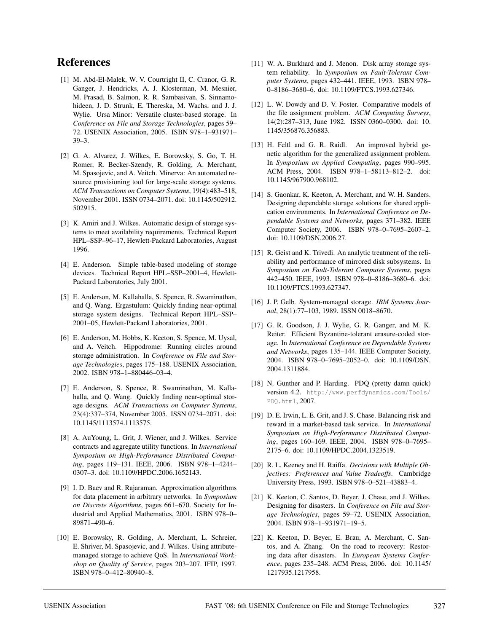## **References**

- [1] M. Abd-El-Malek, W. V. Courtright II, C. Cranor, G. R. Ganger, J. Hendricks, A. J. Klosterman, M. Mesnier, M. Prasad, B. Salmon, R. R. Sambasivan, S. Sinnamohideen, J. D. Strunk, E. Thereska, M. Wachs, and J. J. Wylie. Ursa Minor: Versatile cluster-based storage. In *Conference on File and Storage Technologies*, pages 59– 72. USENIX Association, 2005. ISBN 978–1–931971– 39–3.
- [2] G. A. Alvarez, J. Wilkes, E. Borowsky, S. Go, T. H. Romer, R. Becker-Szendy, R. Golding, A. Merchant, M. Spasojevic, and A. Veitch. Minerva: An automated resource provisioning tool for large-scale storage systems. *ACM Transactions on Computer Systems*, 19(4):483–518, November 2001. ISSN 0734–2071. doi: 10.1145/502912. 502915.
- [3] K. Amiri and J. Wilkes. Automatic design of storage systems to meet availability requirements. Technical Report HPL–SSP–96–17, Hewlett-Packard Laboratories, August 1996.
- [4] E. Anderson. Simple table-based modeling of storage devices. Technical Report HPL–SSP–2001–4, Hewlett-Packard Laboratories, July 2001.
- [5] E. Anderson, M. Kallahalla, S. Spence, R. Swaminathan, and Q. Wang. Ergastulum: Quickly finding near-optimal storage system designs. Technical Report HPL–SSP– 2001–05, Hewlett-Packard Laboratories, 2001.
- [6] E. Anderson, M. Hobbs, K. Keeton, S. Spence, M. Uysal, and A. Veitch. Hippodrome: Running circles around storage administration. In *Conference on File and Storage Technologies*, pages 175–188. USENIX Association, 2002. ISBN 978–1–880446–03–4.
- [7] E. Anderson, S. Spence, R. Swaminathan, M. Kallahalla, and Q. Wang. Quickly finding near-optimal storage designs. *ACM Transactions on Computer Systems*, 23(4):337–374, November 2005. ISSN 0734–2071. doi: 10.1145/1113574.1113575.
- [8] A. AuYoung, L. Grit, J. Wiener, and J. Wilkes. Service contracts and aggregate utility functions. In *International Symposium on High-Performance Distributed Computing*, pages 119–131. IEEE, 2006. ISBN 978–1–4244– 0307–3. doi: 10.1109/HPDC.2006.1652143.
- [9] I. D. Baev and R. Rajaraman. Approximation algorithms for data placement in arbitrary networks. In *Symposium on Discrete Algorithms*, pages 661–670. Society for Industrial and Applied Mathematics, 2001. ISBN 978–0– 89871–490–6.
- [10] E. Borowsky, R. Golding, A. Merchant, L. Schreier, E. Shriver, M. Spasojevic, and J. Wilkes. Using attributemanaged storage to achieve QoS. In *International Workshop on Quality of Service*, pages 203–207. IFIP, 1997. ISBN 978–0–412–80940–8.
- [11] W. A. Burkhard and J. Menon. Disk array storage system reliability. In *Symposium on Fault-Tolerant Computer Systems*, pages 432–441. IEEE, 1993. ISBN 978– 0–8186–3680–6. doi: 10.1109/FTCS.1993.627346.
- [12] L. W. Dowdy and D. V. Foster. Comparative models of the file assignment problem. *ACM Computing Surveys*, 14(2):287–313, June 1982. ISSN 0360–0300. doi: 10. 1145/356876.356883.
- [13] H. Feltl and G. R. Raidl. An improved hybrid genetic algorithm for the generalized assignment problem. In *Symposium on Applied Computing*, pages 990–995. ACM Press, 2004. ISBN 978–1–58113–812–2. doi: 10.1145/967900.968102.
- [14] S. Gaonkar, K. Keeton, A. Merchant, and W. H. Sanders. Designing dependable storage solutions for shared application environments. In *International Conference on Dependable Systems and Networks*, pages 371–382. IEEE Computer Society, 2006. ISBN 978–0–7695–2607–2. doi: 10.1109/DSN.2006.27.
- [15] R. Geist and K. Trivedi. An analytic treatment of the reliability and performance of mirrored disk subsystems. In *Symposium on Fault-Tolerant Computer Systems*, pages 442–450. IEEE, 1993. ISBN 978–0–8186–3680–6. doi: 10.1109/FTCS.1993.627347.
- [16] J. P. Gelb. System-managed storage. *IBM Systems Journal*, 28(1):77–103, 1989. ISSN 0018–8670.
- [17] G. R. Goodson, J. J. Wylie, G. R. Ganger, and M. K. Reiter. Efficient Byzantine-tolerant erasure-coded storage. In *International Conference on Dependable Systems and Networks*, pages 135–144. IEEE Computer Society, 2004. ISBN 978–0–7695–2052–0. doi: 10.1109/DSN. 2004.1311884.
- [18] N. Gunther and P. Harding. PDQ (pretty damn quick) version 4.2. http://www.perfdynamics.com/Tools/ PDQ.html, 2007.
- [19] D. E. Irwin, L. E. Grit, and J. S. Chase. Balancing risk and reward in a market-based task service. In *International Symposium on High-Performance Distributed Computing*, pages 160–169. IEEE, 2004. ISBN 978–0–7695– 2175–6. doi: 10.1109/HPDC.2004.1323519.
- [20] R. L. Keeney and H. Raiffa. *Decisions with Multiple Objectives: Preferences and Value Tradeoffs*. Cambridge University Press, 1993. ISBN 978–0–521–43883–4.
- [21] K. Keeton, C. Santos, D. Beyer, J. Chase, and J. Wilkes. Designing for disasters. In *Conference on File and Storage Technologies*, pages 59–72. USENIX Association, 2004. ISBN 978–1–931971–19–5.
- [22] K. Keeton, D. Beyer, E. Brau, A. Merchant, C. Santos, and A. Zhang. On the road to recovery: Restoring data after disasters. In *European Systems Conference*, pages 235–248. ACM Press, 2006. doi: 10.1145/ 1217935.1217958.